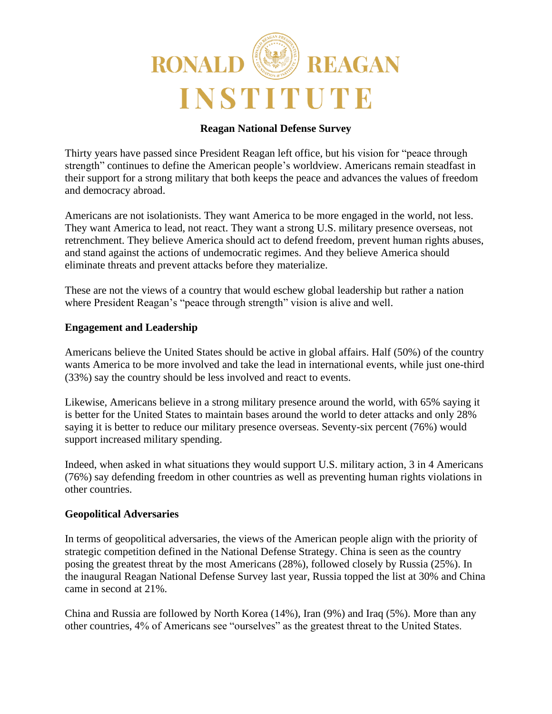

# **Reagan National Defense Survey**

Thirty years have passed since President Reagan left office, but his vision for "peace through strength" continues to define the American people's worldview. Americans remain steadfast in their support for a strong military that both keeps the peace and advances the values of freedom and democracy abroad.

Americans are not isolationists. They want America to be more engaged in the world, not less. They want America to lead, not react. They want a strong U.S. military presence overseas, not retrenchment. They believe America should act to defend freedom, prevent human rights abuses, and stand against the actions of undemocratic regimes. And they believe America should eliminate threats and prevent attacks before they materialize.

These are not the views of a country that would eschew global leadership but rather a nation where President Reagan's "peace through strength" vision is alive and well.

#### **Engagement and Leadership**

Americans believe the United States should be active in global affairs. Half (50%) of the country wants America to be more involved and take the lead in international events, while just one-third (33%) say the country should be less involved and react to events.

Likewise, Americans believe in a strong military presence around the world, with 65% saying it is better for the United States to maintain bases around the world to deter attacks and only 28% saying it is better to reduce our military presence overseas. Seventy-six percent (76%) would support increased military spending.

Indeed, when asked in what situations they would support U.S. military action, 3 in 4 Americans (76%) say defending freedom in other countries as well as preventing human rights violations in other countries.

#### **Geopolitical Adversaries**

In terms of geopolitical adversaries, the views of the American people align with the priority of strategic competition defined in the National Defense Strategy. China is seen as the country posing the greatest threat by the most Americans (28%), followed closely by Russia (25%). In the inaugural Reagan National Defense Survey last year, Russia topped the list at 30% and China came in second at 21%.

China and Russia are followed by North Korea (14%), Iran (9%) and Iraq (5%). More than any other countries, 4% of Americans see "ourselves" as the greatest threat to the United States.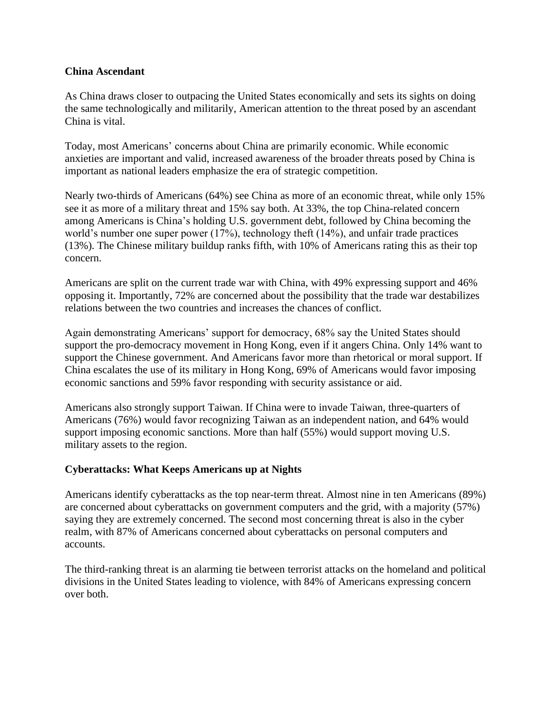#### **China Ascendant**

As China draws closer to outpacing the United States economically and sets its sights on doing the same technologically and militarily, American attention to the threat posed by an ascendant China is vital.

Today, most Americans' concerns about China are primarily economic. While economic anxieties are important and valid, increased awareness of the broader threats posed by China is important as national leaders emphasize the era of strategic competition.

Nearly two-thirds of Americans (64%) see China as more of an economic threat, while only 15% see it as more of a military threat and 15% say both. At 33%, the top China-related concern among Americans is China's holding U.S. government debt, followed by China becoming the world's number one super power (17%), technology theft (14%), and unfair trade practices (13%). The Chinese military buildup ranks fifth, with 10% of Americans rating this as their top concern.

Americans are split on the current trade war with China, with 49% expressing support and 46% opposing it. Importantly, 72% are concerned about the possibility that the trade war destabilizes relations between the two countries and increases the chances of conflict.

Again demonstrating Americans' support for democracy, 68% say the United States should support the pro-democracy movement in Hong Kong, even if it angers China. Only 14% want to support the Chinese government. And Americans favor more than rhetorical or moral support. If China escalates the use of its military in Hong Kong, 69% of Americans would favor imposing economic sanctions and 59% favor responding with security assistance or aid.

Americans also strongly support Taiwan. If China were to invade Taiwan, three-quarters of Americans (76%) would favor recognizing Taiwan as an independent nation, and 64% would support imposing economic sanctions. More than half (55%) would support moving U.S. military assets to the region.

# **Cyberattacks: What Keeps Americans up at Nights**

Americans identify cyberattacks as the top near-term threat. Almost nine in ten Americans (89%) are concerned about cyberattacks on government computers and the grid, with a majority (57%) saying they are extremely concerned. The second most concerning threat is also in the cyber realm, with 87% of Americans concerned about cyberattacks on personal computers and accounts.

The third-ranking threat is an alarming tie between terrorist attacks on the homeland and political divisions in the United States leading to violence, with 84% of Americans expressing concern over both.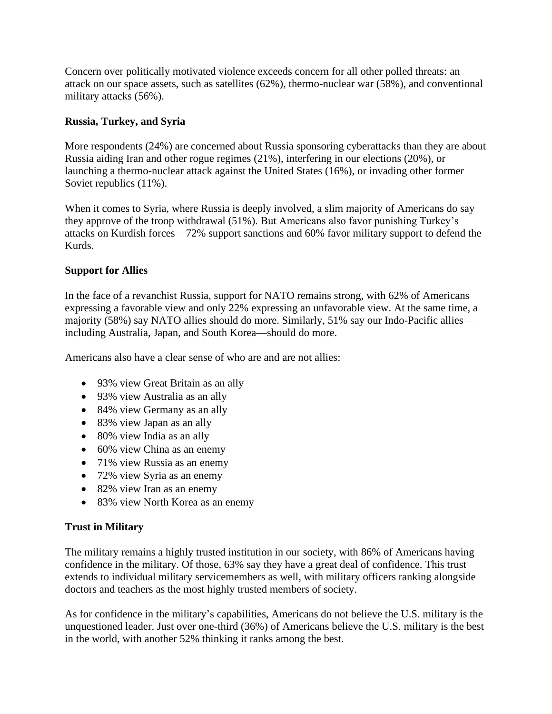Concern over politically motivated violence exceeds concern for all other polled threats: an attack on our space assets, such as satellites (62%), thermo-nuclear war (58%), and conventional military attacks (56%).

# **Russia, Turkey, and Syria**

More respondents (24%) are concerned about Russia sponsoring cyberattacks than they are about Russia aiding Iran and other rogue regimes (21%), interfering in our elections (20%), or launching a thermo-nuclear attack against the United States (16%), or invading other former Soviet republics (11%).

When it comes to Syria, where Russia is deeply involved, a slim majority of Americans do say they approve of the troop withdrawal (51%). But Americans also favor punishing Turkey's attacks on Kurdish forces—72% support sanctions and 60% favor military support to defend the Kurds.

### **Support for Allies**

In the face of a revanchist Russia, support for NATO remains strong, with 62% of Americans expressing a favorable view and only 22% expressing an unfavorable view. At the same time, a majority (58%) say NATO allies should do more. Similarly, 51% say our Indo-Pacific allies including Australia, Japan, and South Korea—should do more.

Americans also have a clear sense of who are and are not allies:

- 93% view Great Britain as an ally
- 93% view Australia as an ally
- 84% view Germany as an ally
- 83% view Japan as an ally
- 80% view India as an ally
- 60% view China as an enemy
- 71% view Russia as an enemy
- 72% view Syria as an enemy
- 82% view Iran as an enemy
- 83% view North Korea as an enemy

# **Trust in Military**

The military remains a highly trusted institution in our society, with 86% of Americans having confidence in the military. Of those, 63% say they have a great deal of confidence. This trust extends to individual military servicemembers as well, with military officers ranking alongside doctors and teachers as the most highly trusted members of society.

As for confidence in the military's capabilities, Americans do not believe the U.S. military is the unquestioned leader. Just over one-third (36%) of Americans believe the U.S. military is the best in the world, with another 52% thinking it ranks among the best.